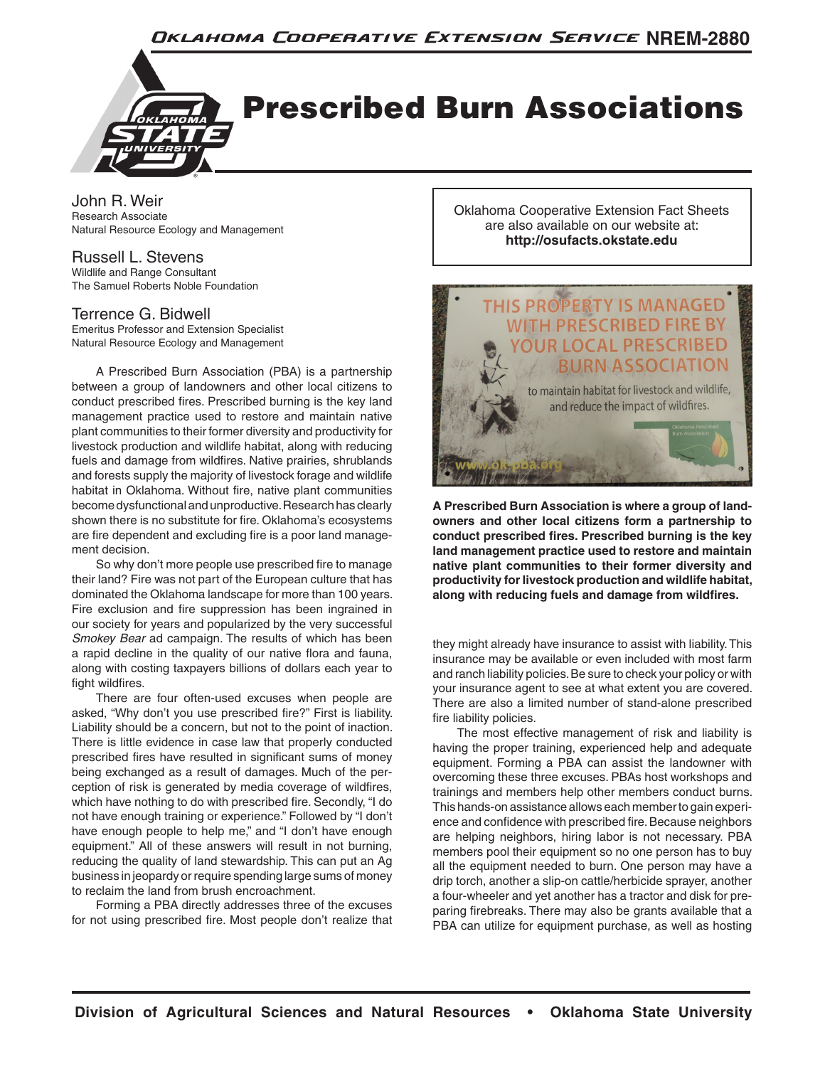

John R. Weir Research Associate Natural Resource Ecology and Management

#### Russell L. Stevens

Wildlife and Range Consultant The Samuel Roberts Noble Foundation

### Terrence G. Bidwell

Emeritus Professor and Extension Specialist Natural Resource Ecology and Management

A Prescribed Burn Association (PBA) is a partnership between a group of landowners and other local citizens to conduct prescribed fires. Prescribed burning is the key land management practice used to restore and maintain native plant communities to their former diversity and productivity for livestock production and wildlife habitat, along with reducing fuels and damage from wildfires. Native prairies, shrublands and forests supply the majority of livestock forage and wildlife habitat in Oklahoma. Without fire, native plant communities become dysfunctional and unproductive. Research has clearly shown there is no substitute for fire. Oklahoma's ecosystems are fire dependent and excluding fire is a poor land management decision.

So why don't more people use prescribed fire to manage their land? Fire was not part of the European culture that has dominated the Oklahoma landscape for more than 100 years. Fire exclusion and fire suppression has been ingrained in our society for years and popularized by the very successful *Smokey Bear* ad campaign. The results of which has been a rapid decline in the quality of our native flora and fauna, along with costing taxpayers billions of dollars each year to fight wildfires.

There are four often-used excuses when people are asked, "Why don't you use prescribed fire?" First is liability. Liability should be a concern, but not to the point of inaction. There is little evidence in case law that properly conducted prescribed fires have resulted in significant sums of money being exchanged as a result of damages. Much of the perception of risk is generated by media coverage of wildfires, which have nothing to do with prescribed fire. Secondly, "I do not have enough training or experience." Followed by "I don't have enough people to help me," and "I don't have enough equipment." All of these answers will result in not burning, reducing the quality of land stewardship. This can put an Ag business in jeopardy or require spending large sums of money to reclaim the land from brush encroachment.

Forming a PBA directly addresses three of the excuses for not using prescribed fire. Most people don't realize that Oklahoma Cooperative Extension Fact Sheets are also available on our website at: **http://osufacts.okstate.edu**



**A Prescribed Burn Association is where a group of landowners and other local citizens form a partnership to conduct prescribed fires. Prescribed burning is the key land management practice used to restore and maintain native plant communities to their former diversity and productivity for livestock production and wildlife habitat, along with reducing fuels and damage from wildfires.**

they might already have insurance to assist with liability. This insurance may be available or even included with most farm and ranch liability policies. Be sure to check your policy or with your insurance agent to see at what extent you are covered. There are also a limited number of stand-alone prescribed fire liability policies.

The most effective management of risk and liability is having the proper training, experienced help and adequate equipment. Forming a PBA can assist the landowner with overcoming these three excuses. PBAs host workshops and trainings and members help other members conduct burns. This hands-on assistance allows each member to gain experience and confidence with prescribed fire. Because neighbors are helping neighbors, hiring labor is not necessary. PBA members pool their equipment so no one person has to buy all the equipment needed to burn. One person may have a drip torch, another a slip-on cattle/herbicide sprayer, another a four-wheeler and yet another has a tractor and disk for preparing firebreaks. There may also be grants available that a PBA can utilize for equipment purchase, as well as hosting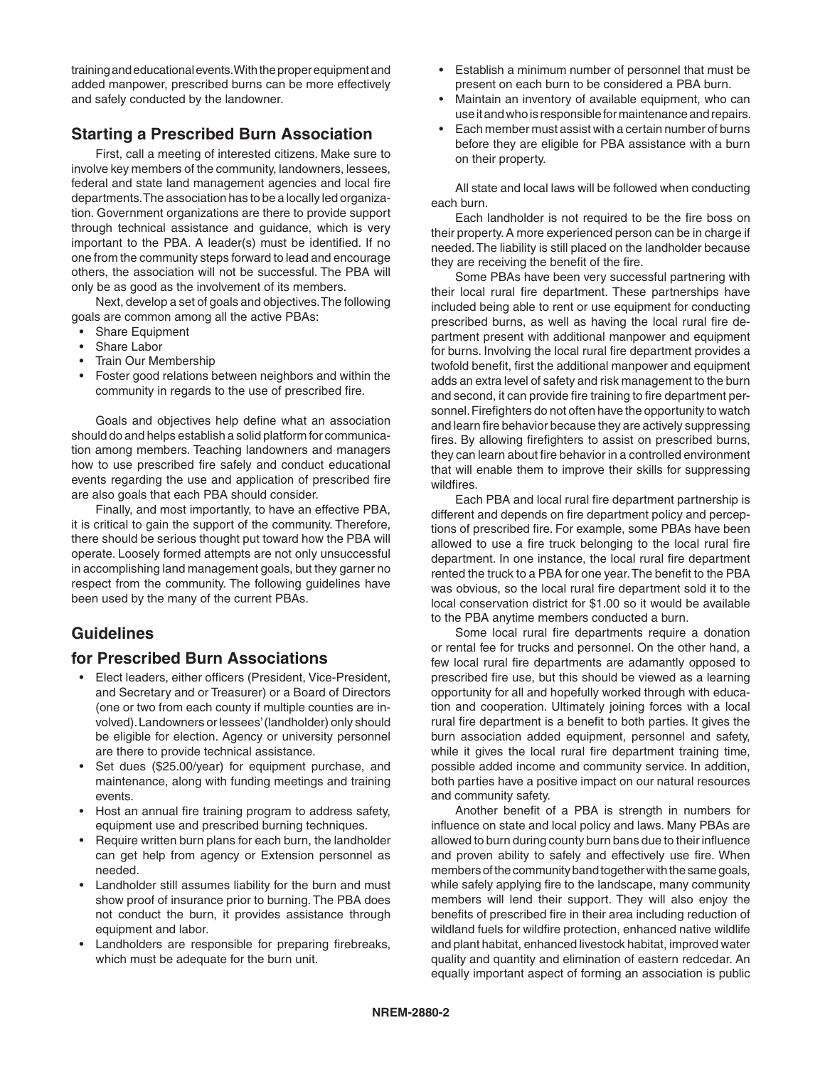training and educational events. With the proper equipment and added manpower, prescribed burns can be more effectively and safely conducted by the landowner.

# **Starting a Prescribed Burn Association**

First, call a meeting of interested citizens. Make sure to involve key members of the community, landowners, lessees, federal and state land management agencies and local fire departments. The association has to be a locally led organization. Government organizations are there to provide support through technical assistance and guidance, which is very important to the PBA. A leader(s) must be identified. If no one from the community steps forward to lead and encourage others, the association will not be successful. The PBA will only be as good as the involvement of its members.

Next, develop a set of goals and objectives. The following goals are common among all the active PBAs:

- Share Equipment
- Share Labor
- Train Our Membership
- Foster good relations between neighbors and within the community in regards to the use of prescribed fire.

Goals and objectives help define what an association should do and helps establish a solid platform for communication among members. Teaching landowners and managers how to use prescribed fire safely and conduct educational events regarding the use and application of prescribed fire are also goals that each PBA should consider.

Finally, and most importantly, to have an effective PBA, it is critical to gain the support of the community. Therefore, there should be serious thought put toward how the PBA will operate. Loosely formed attempts are not only unsuccessful in accomplishing land management goals, but they garner no respect from the community. The following guidelines have been used by the many of the current PBAs.

# **Guidelines**

# **for Prescribed Burn Associations**

- Elect leaders, either officers (President, Vice-President, and Secretary and or Treasurer) or a Board of Directors (one or two from each county if multiple counties are involved). Landowners or lessees' (landholder) only should be eligible for election. Agency or university personnel are there to provide technical assistance.
- Set dues (\$25.00/year) for equipment purchase, and maintenance, along with funding meetings and training events.
- Host an annual fire training program to address safety, equipment use and prescribed burning techniques.
- Require written burn plans for each burn, the landholder can get help from agency or Extension personnel as needed.
- Landholder still assumes liability for the burn and must show proof of insurance prior to burning. The PBA does not conduct the burn, it provides assistance through equipment and labor.
- Landholders are responsible for preparing firebreaks, which must be adequate for the burn unit.
- Establish a minimum number of personnel that must be present on each burn to be considered a PBA burn.
- Maintain an inventory of available equipment, who can use it and who is responsible for maintenance and repairs.
- Each member must assist with a certain number of burns before they are eligible for PBA assistance with a burn on their property.

All state and local laws will be followed when conducting each burn.

Each landholder is not required to be the fire boss on their property. A more experienced person can be in charge if needed. The liability is still placed on the landholder because they are receiving the benefit of the fire.

Some PBAs have been very successful partnering with their local rural fire department. These partnerships have included being able to rent or use equipment for conducting prescribed burns, as well as having the local rural fire department present with additional manpower and equipment for burns. Involving the local rural fire department provides a twofold benefit, first the additional manpower and equipment adds an extra level of safety and risk management to the burn and second, it can provide fire training to fire department personnel. Firefighters do not often have the opportunity to watch and learn fire behavior because they are actively suppressing fires. By allowing firefighters to assist on prescribed burns, they can learn about fire behavior in a controlled environment that will enable them to improve their skills for suppressing wildfires.

Each PBA and local rural fire department partnership is different and depends on fire department policy and perceptions of prescribed fire. For example, some PBAs have been allowed to use a fire truck belonging to the local rural fire department. In one instance, the local rural fire department rented the truck to a PBA for one year. The benefit to the PBA was obvious, so the local rural fire department sold it to the local conservation district for \$1.00 so it would be available to the PBA anytime members conducted a burn.

Some local rural fire departments require a donation or rental fee for trucks and personnel. On the other hand, a few local rural fire departments are adamantly opposed to prescribed fire use, but this should be viewed as a learning opportunity for all and hopefully worked through with education and cooperation. Ultimately joining forces with a local rural fire department is a benefit to both parties. It gives the burn association added equipment, personnel and safety, while it gives the local rural fire department training time, possible added income and community service. In addition, both parties have a positive impact on our natural resources and community safety.

Another benefit of a PBA is strength in numbers for influence on state and local policy and laws. Many PBAs are allowed to burn during county burn bans due to their influence and proven ability to safely and effectively use fire. When members of the community band together with the same goals, while safely applying fire to the landscape, many community members will lend their support. They will also enjoy the benefits of prescribed fire in their area including reduction of wildland fuels for wildfire protection, enhanced native wildlife and plant habitat, enhanced livestock habitat, improved water quality and quantity and elimination of eastern redcedar. An equally important aspect of forming an association is public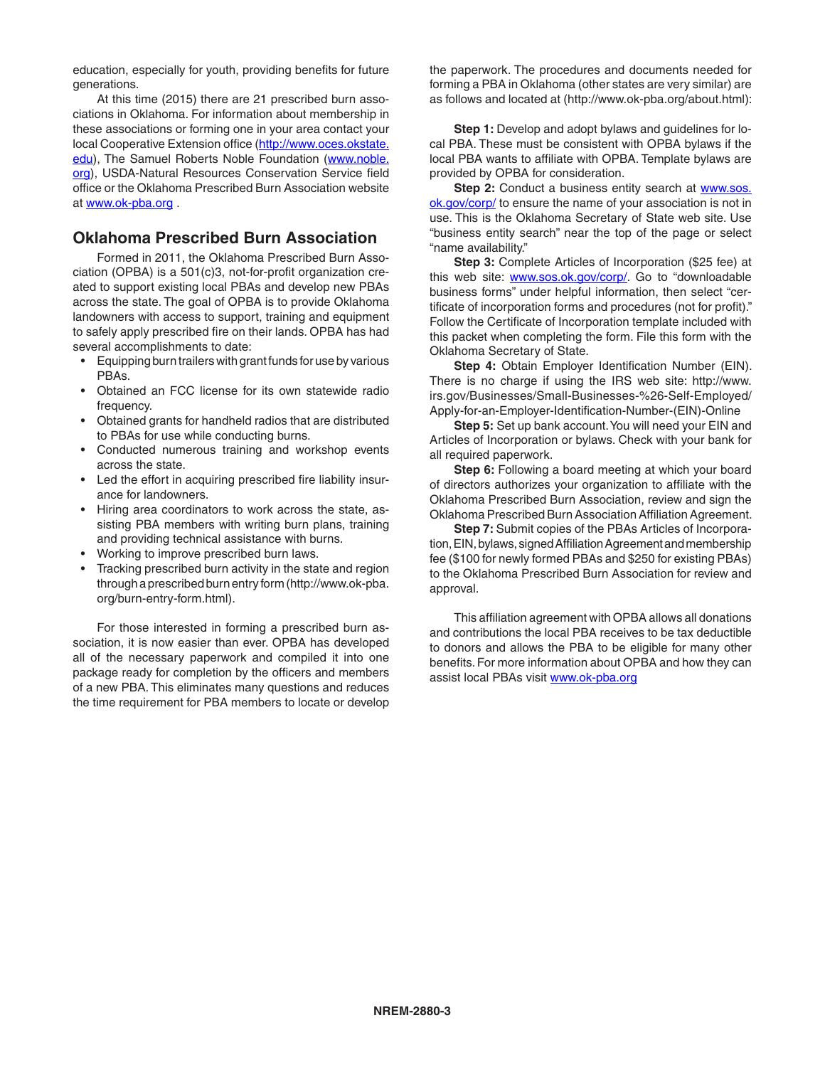education, especially for youth, providing benefits for future generations.

At this time (2015) there are 21 prescribed burn associations in Oklahoma. For information about membership in these associations or forming one in your area contact your local Cooperative Extension office (http://www.oces.okstate. edu), The Samuel Roberts Noble Foundation (www.noble. org), USDA-Natural Resources Conservation Service field office or the Oklahoma Prescribed Burn Association website at www.ok-pba.org .

## **Oklahoma Prescribed Burn Association**

Formed in 2011, the Oklahoma Prescribed Burn Association (OPBA) is a 501(c)3, not-for-profit organization created to support existing local PBAs and develop new PBAs across the state. The goal of OPBA is to provide Oklahoma landowners with access to support, training and equipment to safely apply prescribed fire on their lands. OPBA has had several accomplishments to date:

- Equipping burn trailers with grant funds for use by various PBAs.
- Obtained an FCC license for its own statewide radio frequency.
- Obtained grants for handheld radios that are distributed to PBAs for use while conducting burns.
- Conducted numerous training and workshop events across the state.
- Led the effort in acquiring prescribed fire liability insurance for landowners.
- Hiring area coordinators to work across the state, assisting PBA members with writing burn plans, training and providing technical assistance with burns.
- Working to improve prescribed burn laws.
- Tracking prescribed burn activity in the state and region through a prescribed burn entry form (http://www.ok-pba. org/burn-entry-form.html).

For those interested in forming a prescribed burn association, it is now easier than ever. OPBA has developed all of the necessary paperwork and compiled it into one package ready for completion by the officers and members of a new PBA. This eliminates many questions and reduces the time requirement for PBA members to locate or develop

the paperwork. The procedures and documents needed for forming a PBA in Oklahoma (other states are very similar) are as follows and located at (http://www.ok-pba.org/about.html):

**Step 1:** Develop and adopt bylaws and guidelines for local PBA. These must be consistent with OPBA bylaws if the local PBA wants to affiliate with OPBA. Template bylaws are provided by OPBA for consideration.

**Step 2:** Conduct a business entity search at www.sos. ok.gov/corp/ to ensure the name of your association is not in use. This is the Oklahoma Secretary of State web site. Use "business entity search" near the top of the page or select "name availability."

**Step 3:** Complete Articles of Incorporation (\$25 fee) at this web site: www.sos.ok.gov/corp/. Go to "downloadable business forms" under helpful information, then select "certificate of incorporation forms and procedures (not for profit)." Follow the Certificate of Incorporation template included with this packet when completing the form. File this form with the Oklahoma Secretary of State.

**Step 4: Obtain Employer Identification Number (EIN).** There is no charge if using the IRS web site: http://www. irs.gov/Businesses/Small-Businesses-%26-Self-Employed/ Apply-for-an-Employer-Identification-Number-(EIN)-Online

**Step 5:** Set up bank account. You will need your EIN and Articles of Incorporation or bylaws. Check with your bank for all required paperwork.

**Step 6:** Following a board meeting at which your board of directors authorizes your organization to affiliate with the Oklahoma Prescribed Burn Association, review and sign the Oklahoma Prescribed Burn Association Affiliation Agreement.

**Step 7:** Submit copies of the PBAs Articles of Incorporation, EIN, bylaws, signed Affiliation Agreement and membership fee (\$100 for newly formed PBAs and \$250 for existing PBAs) to the Oklahoma Prescribed Burn Association for review and approval.

This affiliation agreement with OPBA allows all donations and contributions the local PBA receives to be tax deductible to donors and allows the PBA to be eligible for many other benefits. For more information about OPBA and how they can assist local PBAs visit www.ok-pba.org